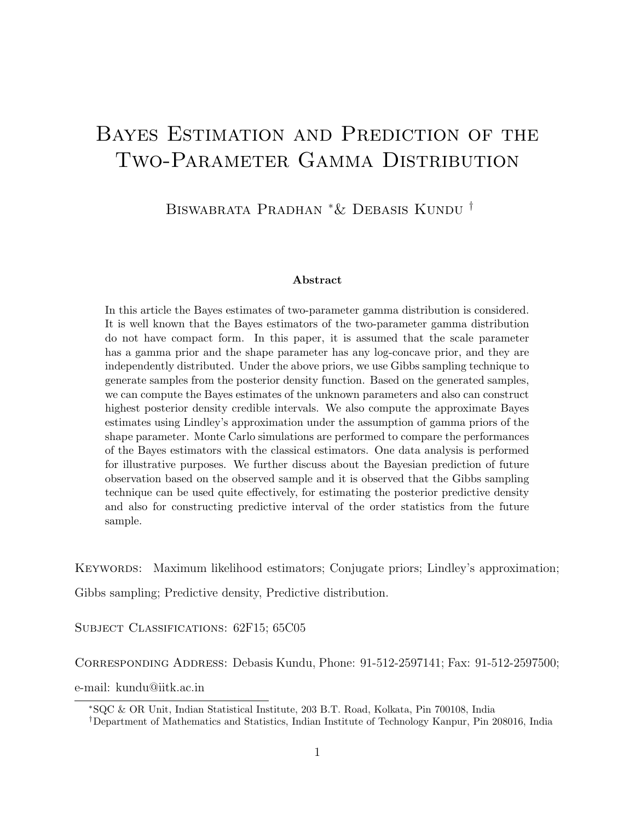# Bayes Estimation and Prediction of the Two-Parameter Gamma Distribution

Biswabrata Pradhan <sup>∗</sup>& Debasis Kundu †

#### Abstract

In this article the Bayes estimates of two-parameter gamma distribution is considered. It is well known that the Bayes estimators of the two-parameter gamma distribution do not have compact form. In this paper, it is assumed that the scale parameter has a gamma prior and the shape parameter has any log-concave prior, and they are independently distributed. Under the above priors, we use Gibbs sampling technique to generate samples from the posterior density function. Based on the generated samples, we can compute the Bayes estimates of the unknown parameters and also can construct highest posterior density credible intervals. We also compute the approximate Bayes estimates using Lindley's approximation under the assumption of gamma priors of the shape parameter. Monte Carlo simulations are performed to compare the performances of the Bayes estimators with the classical estimators. One data analysis is performed for illustrative purposes. We further discuss about the Bayesian prediction of future observation based on the observed sample and it is observed that the Gibbs sampling technique can be used quite effectively, for estimating the posterior predictive density and also for constructing predictive interval of the order statistics from the future sample.

KEYWORDS: Maximum likelihood estimators; Conjugate priors; Lindley's approximation; Gibbs sampling; Predictive density, Predictive distribution.

SUBJECT CLASSIFICATIONS: 62F15; 65C05

Corresponding Address: Debasis Kundu, Phone: 91-512-2597141; Fax: 91-512-2597500;

e-mail: kundu@iitk.ac.in

<sup>∗</sup>SQC & OR Unit, Indian Statistical Institute, 203 B.T. Road, Kolkata, Pin 700108, India

†Department of Mathematics and Statistics, Indian Institute of Technology Kanpur, Pin 208016, India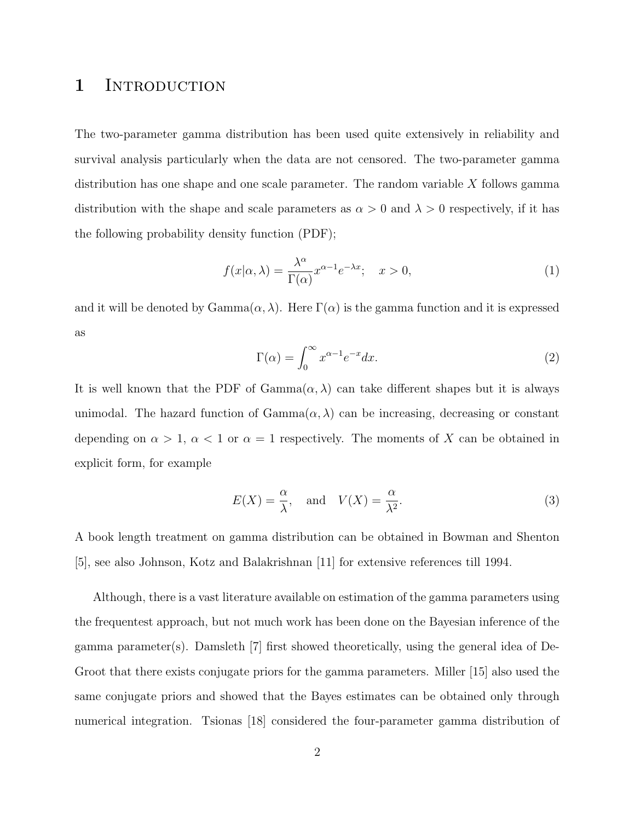#### 1 INTRODUCTION

The two-parameter gamma distribution has been used quite extensively in reliability and survival analysis particularly when the data are not censored. The two-parameter gamma distribution has one shape and one scale parameter. The random variable  $X$  follows gamma distribution with the shape and scale parameters as  $\alpha > 0$  and  $\lambda > 0$  respectively, if it has the following probability density function (PDF);

$$
f(x|\alpha,\lambda) = \frac{\lambda^{\alpha}}{\Gamma(\alpha)} x^{\alpha-1} e^{-\lambda x}; \quad x > 0,
$$
 (1)

and it will be denoted by  $Gamma(\alpha)$ . Here  $\Gamma(\alpha)$  is the gamma function and it is expressed as

$$
\Gamma(\alpha) = \int_0^\infty x^{\alpha - 1} e^{-x} dx.
$$
\n(2)

It is well known that the PDF of  $Gamma(\alpha, \lambda)$  can take different shapes but it is always unimodal. The hazard function of  $Gamma(\alpha, \lambda)$  can be increasing, decreasing or constant depending on  $\alpha > 1$ ,  $\alpha < 1$  or  $\alpha = 1$  respectively. The moments of X can be obtained in explicit form, for example

$$
E(X) = \frac{\alpha}{\lambda}, \quad \text{and} \quad V(X) = \frac{\alpha}{\lambda^2}.
$$
 (3)

A book length treatment on gamma distribution can be obtained in Bowman and Shenton [5], see also Johnson, Kotz and Balakrishnan [11] for extensive references till 1994.

Although, there is a vast literature available on estimation of the gamma parameters using the frequentest approach, but not much work has been done on the Bayesian inference of the gamma parameter(s). Damsleth  $[7]$  first showed theoretically, using the general idea of De-Groot that there exists conjugate priors for the gamma parameters. Miller [15] also used the same conjugate priors and showed that the Bayes estimates can be obtained only through numerical integration. Tsionas [18] considered the four-parameter gamma distribution of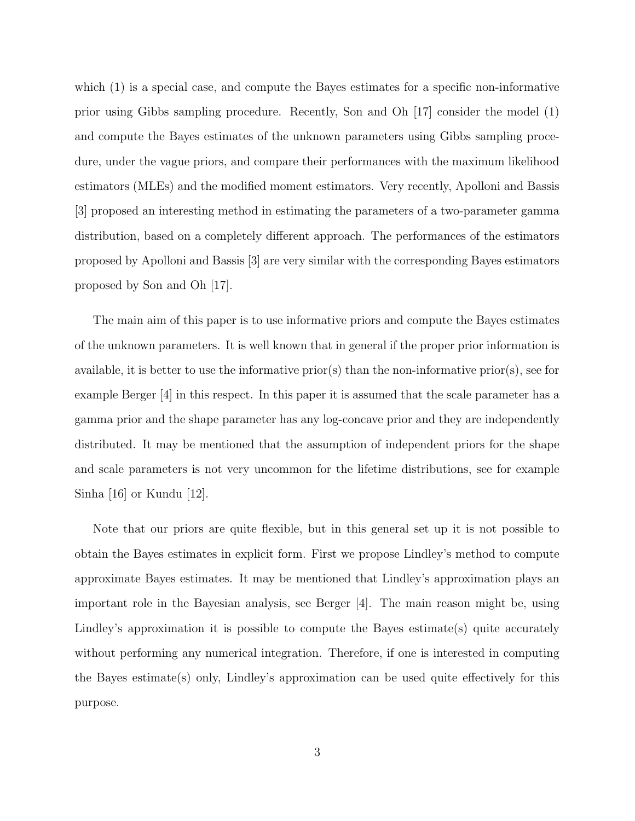which (1) is a special case, and compute the Bayes estimates for a specific non-informative prior using Gibbs sampling procedure. Recently, Son and Oh [17] consider the model (1) and compute the Bayes estimates of the unknown parameters using Gibbs sampling procedure, under the vague priors, and compare their performances with the maximum likelihood estimators (MLEs) and the modified moment estimators. Very recently, Apolloni and Bassis [3] proposed an interesting method in estimating the parameters of a two-parameter gamma distribution, based on a completely different approach. The performances of the estimators proposed by Apolloni and Bassis [3] are very similar with the corresponding Bayes estimators proposed by Son and Oh [17].

The main aim of this paper is to use informative priors and compute the Bayes estimates of the unknown parameters. It is well known that in general if the proper prior information is available, it is better to use the informative prior(s) than the non-informative prior(s), see for example Berger [4] in this respect. In this paper it is assumed that the scale parameter has a gamma prior and the shape parameter has any log-concave prior and they are independently distributed. It may be mentioned that the assumption of independent priors for the shape and scale parameters is not very uncommon for the lifetime distributions, see for example Sinha [16] or Kundu [12].

Note that our priors are quite flexible, but in this general set up it is not possible to obtain the Bayes estimates in explicit form. First we propose Lindley's method to compute approximate Bayes estimates. It may be mentioned that Lindley's approximation plays an important role in the Bayesian analysis, see Berger [4]. The main reason might be, using Lindley's approximation it is possible to compute the Bayes estimate(s) quite accurately without performing any numerical integration. Therefore, if one is interested in computing the Bayes estimate(s) only, Lindley's approximation can be used quite effectively for this purpose.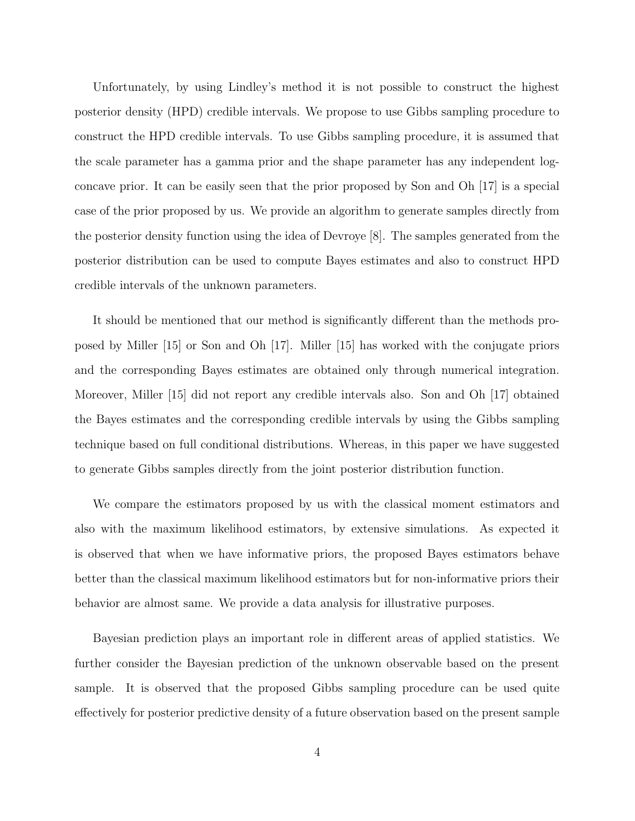Unfortunately, by using Lindley's method it is not possible to construct the highest posterior density (HPD) credible intervals. We propose to use Gibbs sampling procedure to construct the HPD credible intervals. To use Gibbs sampling procedure, it is assumed that the scale parameter has a gamma prior and the shape parameter has any independent logconcave prior. It can be easily seen that the prior proposed by Son and Oh [17] is a special case of the prior proposed by us. We provide an algorithm to generate samples directly from the posterior density function using the idea of Devroye [8]. The samples generated from the posterior distribution can be used to compute Bayes estimates and also to construct HPD credible intervals of the unknown parameters.

It should be mentioned that our method is significantly different than the methods proposed by Miller [15] or Son and Oh [17]. Miller [15] has worked with the conjugate priors and the corresponding Bayes estimates are obtained only through numerical integration. Moreover, Miller [15] did not report any credible intervals also. Son and Oh [17] obtained the Bayes estimates and the corresponding credible intervals by using the Gibbs sampling technique based on full conditional distributions. Whereas, in this paper we have suggested to generate Gibbs samples directly from the joint posterior distribution function.

We compare the estimators proposed by us with the classical moment estimators and also with the maximum likelihood estimators, by extensive simulations. As expected it is observed that when we have informative priors, the proposed Bayes estimators behave better than the classical maximum likelihood estimators but for non-informative priors their behavior are almost same. We provide a data analysis for illustrative purposes.

Bayesian prediction plays an important role in different areas of applied statistics. We further consider the Bayesian prediction of the unknown observable based on the present sample. It is observed that the proposed Gibbs sampling procedure can be used quite effectively for posterior predictive density of a future observation based on the present sample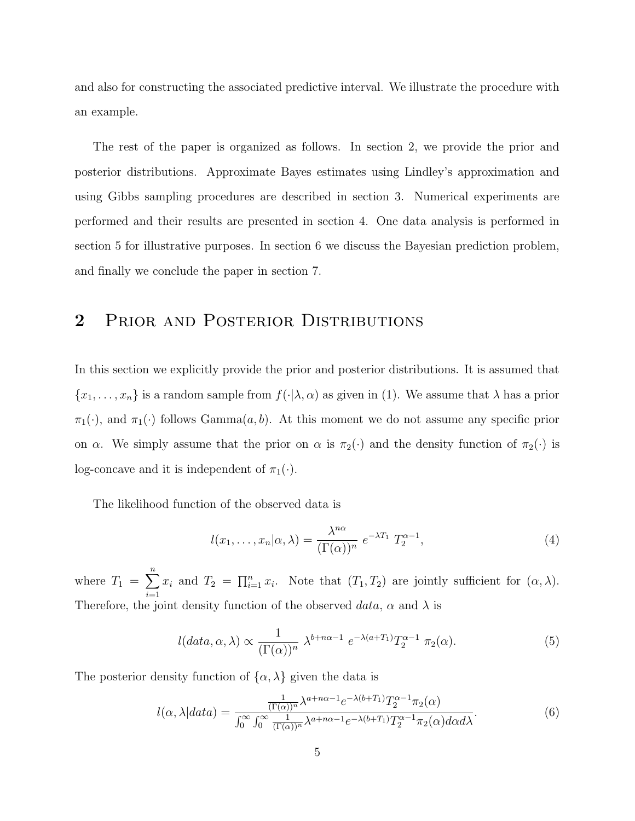and also for constructing the associated predictive interval. We illustrate the procedure with an example.

The rest of the paper is organized as follows. In section 2, we provide the prior and posterior distributions. Approximate Bayes estimates using Lindley's approximation and using Gibbs sampling procedures are described in section 3. Numerical experiments are performed and their results are presented in section 4. One data analysis is performed in section 5 for illustrative purposes. In section 6 we discuss the Bayesian prediction problem, and finally we conclude the paper in section 7.

### 2 PRIOR AND POSTERIOR DISTRIBUTIONS

In this section we explicitly provide the prior and posterior distributions. It is assumed that  ${x_1, \ldots, x_n}$  is a random sample from  $f(\cdot | \lambda, \alpha)$  as given in (1). We assume that  $\lambda$  has a prior  $\pi_1(\cdot)$ , and  $\pi_1(\cdot)$  follows Gamma $(a, b)$ . At this moment we do not assume any specific prior on  $\alpha$ . We simply assume that the prior on  $\alpha$  is  $\pi_2(\cdot)$  and the density function of  $\pi_2(\cdot)$  is log-concave and it is independent of  $\pi_1(\cdot)$ .

The likelihood function of the observed data is

$$
l(x_1, \dots, x_n | \alpha, \lambda) = \frac{\lambda^{n\alpha}}{(\Gamma(\alpha))^n} e^{-\lambda T_1} T_2^{\alpha - 1},
$$
\n(4)

where  $T_1 = \sum^n$  $i=1$  $x_i$  and  $T_2 = \prod_{i=1}^n x_i$ . Note that  $(T_1, T_2)$  are jointly sufficient for  $(\alpha, \lambda)$ . Therefore, the joint density function of the observed data,  $\alpha$  and  $\lambda$  is

$$
l(data, \alpha, \lambda) \propto \frac{1}{(\Gamma(\alpha))^n} \ \lambda^{b+n\alpha-1} \ e^{-\lambda(a+T_1)} T_2^{\alpha-1} \ \pi_2(\alpha). \tag{5}
$$

The posterior density function of  $\{\alpha, \lambda\}$  given the data is

$$
l(\alpha, \lambda|data) = \frac{\frac{1}{(\Gamma(\alpha))^n} \lambda^{a+n\alpha-1} e^{-\lambda(b+T_1)} T_2^{\alpha-1} \pi_2(\alpha)}{\int_0^\infty \int_0^\infty \frac{1}{(\Gamma(\alpha))^n} \lambda^{a+n\alpha-1} e^{-\lambda(b+T_1)} T_2^{\alpha-1} \pi_2(\alpha) d\alpha d\lambda}.
$$
(6)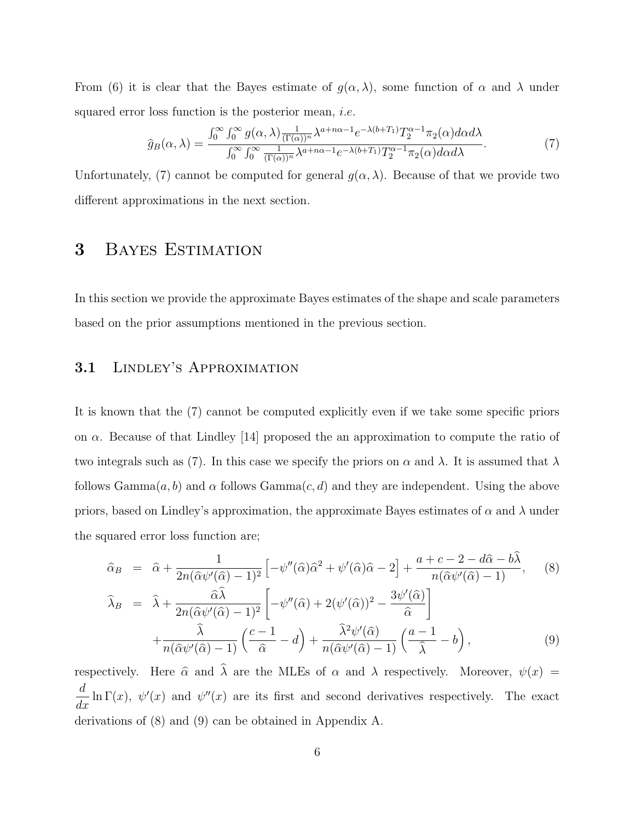From (6) it is clear that the Bayes estimate of  $g(\alpha, \lambda)$ , some function of  $\alpha$  and  $\lambda$  under squared error loss function is the posterior mean, *i.e.* 

$$
\widehat{g}_B(\alpha,\lambda) = \frac{\int_0^\infty \int_0^\infty g(\alpha,\lambda) \frac{1}{(\Gamma(\alpha))^n} \lambda^{a+n\alpha-1} e^{-\lambda(b+T_1)} T_2^{\alpha-1} \pi_2(\alpha) d\alpha d\lambda}{\int_0^\infty \int_0^\infty \frac{1}{(\Gamma(\alpha))^n} \lambda^{a+n\alpha-1} e^{-\lambda(b+T_1)} T_2^{\alpha-1} \pi_2(\alpha) d\alpha d\lambda}.
$$
\n(7)

Unfortunately, (7) cannot be computed for general  $g(\alpha, \lambda)$ . Because of that we provide two different approximations in the next section.

# 3 BAYES ESTIMATION

In this section we provide the approximate Bayes estimates of the shape and scale parameters based on the prior assumptions mentioned in the previous section.

#### 3.1 Lindley's Approximation

It is known that the (7) cannot be computed explicitly even if we take some specific priors on  $\alpha$ . Because of that Lindley [14] proposed the an approximation to compute the ratio of two integrals such as (7). In this case we specify the priors on  $\alpha$  and  $\lambda$ . It is assumed that  $\lambda$ follows  $Gamma(a, b)$  and  $\alpha$  follows  $Gamma(c, d)$  and they are independent. Using the above priors, based on Lindley's approximation, the approximate Bayes estimates of  $\alpha$  and  $\lambda$  under the squared error loss function are;

$$
\hat{\alpha}_B = \hat{\alpha} + \frac{1}{2n(\hat{\alpha}\psi'(\hat{\alpha}) - 1)^2} \left[ -\psi''(\hat{\alpha})\hat{\alpha}^2 + \psi'(\hat{\alpha})\hat{\alpha} - 2 \right] + \frac{a + c - 2 - d\hat{\alpha} - b\hat{\lambda}}{n(\hat{\alpha}\psi'(\hat{\alpha}) - 1)}, \quad (8)
$$

$$
\widehat{\lambda}_B = \widehat{\lambda} + \frac{\widehat{\alpha}\widehat{\lambda}}{2n(\widehat{\alpha}\psi'(\widehat{\alpha}) - 1)^2} \left[ -\psi''(\widehat{\alpha}) + 2(\psi'(\widehat{\alpha}))^2 - \frac{3\psi'(\widehat{\alpha})}{\widehat{\alpha}} \right] + \frac{\widehat{\lambda}}{n(\widehat{\alpha}\psi'(\widehat{\alpha}) - 1)} \left( \frac{c - 1}{\widehat{\alpha}} - d \right) + \frac{\widehat{\lambda}^2\psi'(\widehat{\alpha})}{n(\widehat{\alpha}\psi'(\widehat{\alpha}) - 1)} \left( \frac{a - 1}{\widehat{\lambda}} - b \right),
$$
\n(9)

respectively. Here  $\hat{\alpha}$  and  $\hat{\lambda}$  are the MLEs of  $\alpha$  and  $\lambda$  respectively. Moreover,  $\psi(x) =$ d  $\frac{d}{dx}$  ln  $\Gamma(x)$ ,  $\psi'(x)$  and  $\psi''(x)$  are its first and second derivatives respectively. The exact derivations of (8) and (9) can be obtained in Appendix A.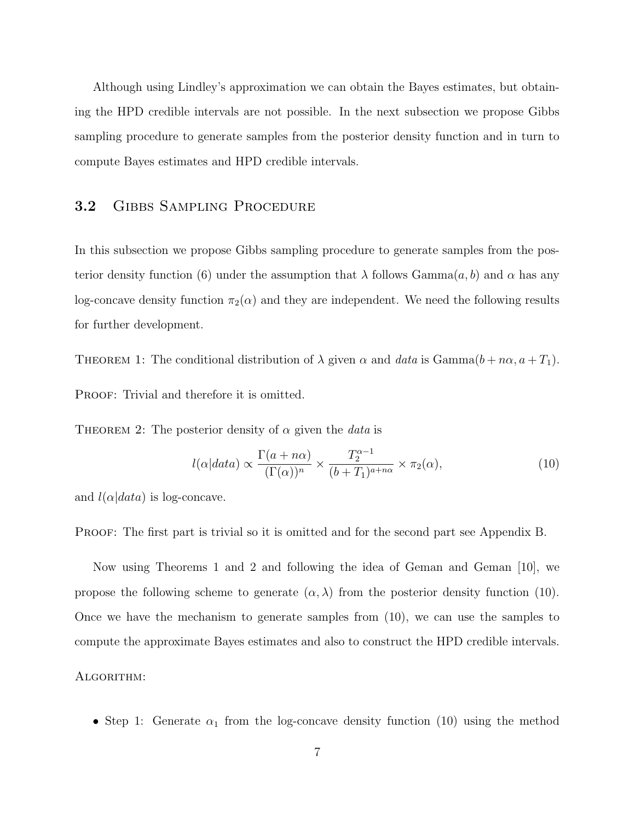Although using Lindley's approximation we can obtain the Bayes estimates, but obtaining the HPD credible intervals are not possible. In the next subsection we propose Gibbs sampling procedure to generate samples from the posterior density function and in turn to compute Bayes estimates and HPD credible intervals.

#### 3.2 GIBBS SAMPLING PROCEDURE

In this subsection we propose Gibbs sampling procedure to generate samples from the posterior density function (6) under the assumption that  $\lambda$  follows Gamma $(a, b)$  and  $\alpha$  has any log-concave density function  $\pi_2(\alpha)$  and they are independent. We need the following results for further development.

THEOREM 1: The conditional distribution of  $\lambda$  given  $\alpha$  and data is Gamma $(b + n\alpha, a + T_1)$ . PROOF: Trivial and therefore it is omitted.

THEOREM 2: The posterior density of  $\alpha$  given the *data* is

$$
l(\alpha|data) \propto \frac{\Gamma(a+n\alpha)}{(\Gamma(\alpha))^n} \times \frac{T_2^{\alpha-1}}{(b+T_1)^{a+n\alpha}} \times \pi_2(\alpha),\tag{10}
$$

and  $l(\alpha|data)$  is log-concave.

PROOF: The first part is trivial so it is omitted and for the second part see Appendix B.

Now using Theorems 1 and 2 and following the idea of Geman and Geman [10], we propose the following scheme to generate  $(\alpha, \lambda)$  from the posterior density function (10). Once we have the mechanism to generate samples from (10), we can use the samples to compute the approximate Bayes estimates and also to construct the HPD credible intervals.

#### ALGORITHM:

• Step 1: Generate  $\alpha_1$  from the log-concave density function (10) using the method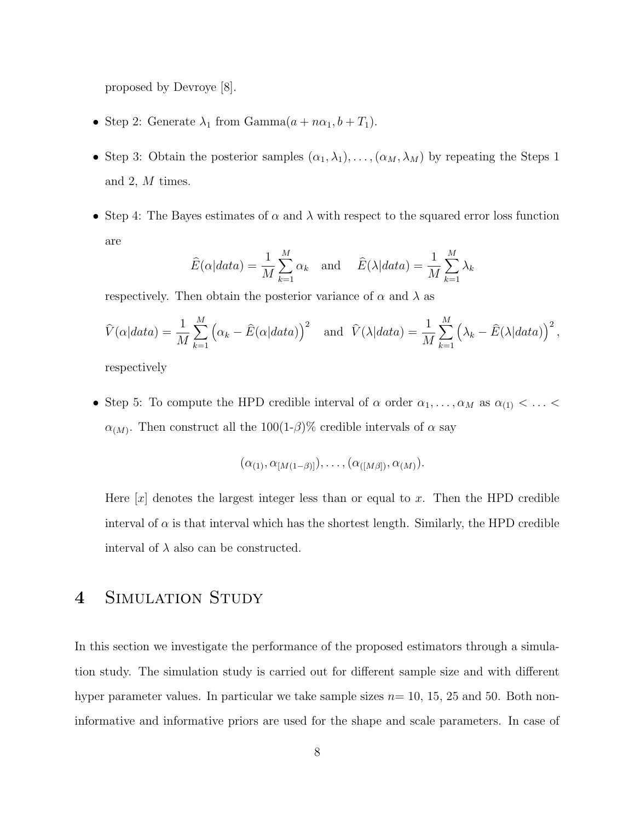proposed by Devroye [8].

- Step 2: Generate  $\lambda_1$  from Gamma $(a + n\alpha_1, b + T_1)$ .
- Step 3: Obtain the posterior samples  $(\alpha_1, \lambda_1), \ldots, (\alpha_M, \lambda_M)$  by repeating the Steps 1 and 2, M times.
- Step 4: The Bayes estimates of  $\alpha$  and  $\lambda$  with respect to the squared error loss function are

$$
\widehat{E}(\alpha|data) = \frac{1}{M} \sum_{k=1}^{M} \alpha_k \quad \text{and} \quad \widehat{E}(\lambda|data) = \frac{1}{M} \sum_{k=1}^{M} \lambda_k
$$

respectively. Then obtain the posterior variance of  $\alpha$  and  $\lambda$  as

$$
\widehat{V}(\alpha|data) = \frac{1}{M} \sum_{k=1}^{M} (\alpha_k - \widehat{E}(\alpha|data))^{2} \text{ and } \widehat{V}(\lambda|data) = \frac{1}{M} \sum_{k=1}^{M} (\lambda_k - \widehat{E}(\lambda|data))^{2},
$$

respectively

• Step 5: To compute the HPD credible interval of  $\alpha$  order  $\alpha_1, \ldots, \alpha_M$  as  $\alpha_{(1)} < \ldots <$  $\alpha_{(M)}$ . Then construct all the 100(1- $\beta$ )% credible intervals of  $\alpha$  say

$$
(\alpha_{(1)}, \alpha_{[M(1-\beta)]}), \ldots, (\alpha_{([M\beta])}, \alpha_{(M)}).
$$

Here  $[x]$  denotes the largest integer less than or equal to x. Then the HPD credible interval of  $\alpha$  is that interval which has the shortest length. Similarly, the HPD credible interval of  $\lambda$  also can be constructed.

### 4 SIMULATION STUDY

In this section we investigate the performance of the proposed estimators through a simulation study. The simulation study is carried out for different sample size and with different hyper parameter values. In particular we take sample sizes  $n=10, 15, 25$  and 50. Both noninformative and informative priors are used for the shape and scale parameters. In case of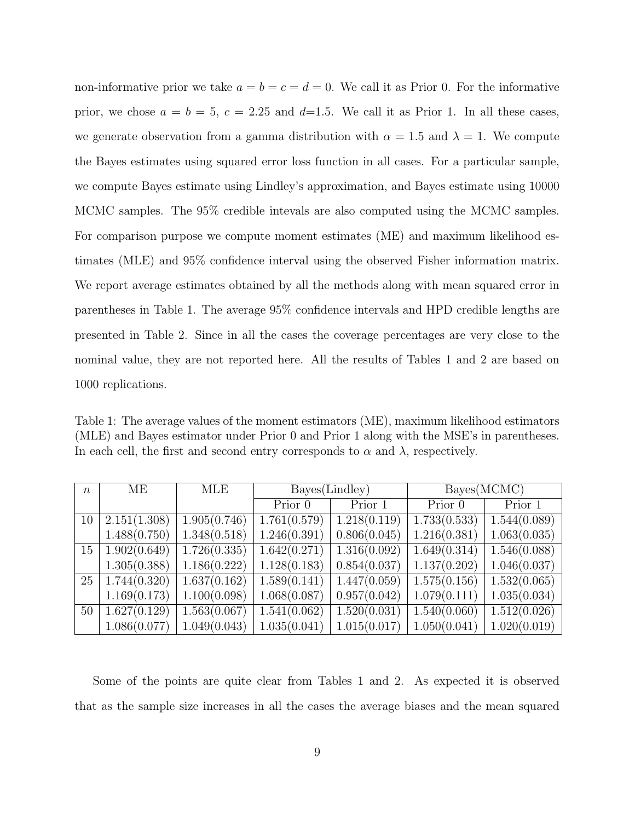non-informative prior we take  $a = b = c = d = 0$ . We call it as Prior 0. For the informative prior, we chose  $a = b = 5$ ,  $c = 2.25$  and  $d=1.5$ . We call it as Prior 1. In all these cases, we generate observation from a gamma distribution with  $\alpha = 1.5$  and  $\lambda = 1$ . We compute the Bayes estimates using squared error loss function in all cases. For a particular sample, we compute Bayes estimate using Lindley's approximation, and Bayes estimate using 10000 MCMC samples. The 95% credible intevals are also computed using the MCMC samples. For comparison purpose we compute moment estimates (ME) and maximum likelihood estimates (MLE) and 95% confidence interval using the observed Fisher information matrix. We report average estimates obtained by all the methods along with mean squared error in parentheses in Table 1. The average 95% confidence intervals and HPD credible lengths are presented in Table 2. Since in all the cases the coverage percentages are very close to the nominal value, they are not reported here. All the results of Tables 1 and 2 are based on 1000 replications.

Table 1: The average values of the moment estimators (ME), maximum likelihood estimators (MLE) and Bayes estimator under Prior 0 and Prior 1 along with the MSE's in parentheses. In each cell, the first and second entry corresponds to  $\alpha$  and  $\lambda$ , respectively.

| $\boldsymbol{n}$ | MЕ           | MLE          |              | Bayes(Lindley)              | Bayes(MCMC)  |              |  |  |
|------------------|--------------|--------------|--------------|-----------------------------|--------------|--------------|--|--|
|                  |              |              | Prior 0      | $\overline{\text{Prior}}$ 1 | Prior 0      | Prior 1      |  |  |
| 10               | 2.151(1.308) | 1.905(0.746) | 1.761(0.579) | 1.218(0.119)                | 1.733(0.533) | 1.544(0.089) |  |  |
|                  | 1.488(0.750) | 1.348(0.518) | 1.246(0.391) | 0.806(0.045)                | 1.216(0.381) | 1.063(0.035) |  |  |
| 15               | 1.902(0.649) | 1.726(0.335) | 1.642(0.271) | 1.316(0.092)                | 1.649(0.314) | 1.546(0.088) |  |  |
|                  | 1.305(0.388) | 1.186(0.222) | 1.128(0.183) | 0.854(0.037)                | 1.137(0.202) | 1.046(0.037) |  |  |
| 25               | 1.744(0.320) | 1.637(0.162) | 1.589(0.141) | 1.447(0.059)                | 1.575(0.156) | 1.532(0.065) |  |  |
|                  | 1.169(0.173) | 1.100(0.098) | 1.068(0.087) | 0.957(0.042)                | 1.079(0.111) | 1.035(0.034) |  |  |
| 50               | 1.627(0.129) | 1.563(0.067) | 1.541(0.062) | 1.520(0.031)                | 1.540(0.060) | 1.512(0.026) |  |  |
|                  | 1.086(0.077) | 1.049(0.043) | 1.035(0.041) | 1.015(0.017)                | 1.050(0.041) | 1.020(0.019) |  |  |

Some of the points are quite clear from Tables 1 and 2. As expected it is observed that as the sample size increases in all the cases the average biases and the mean squared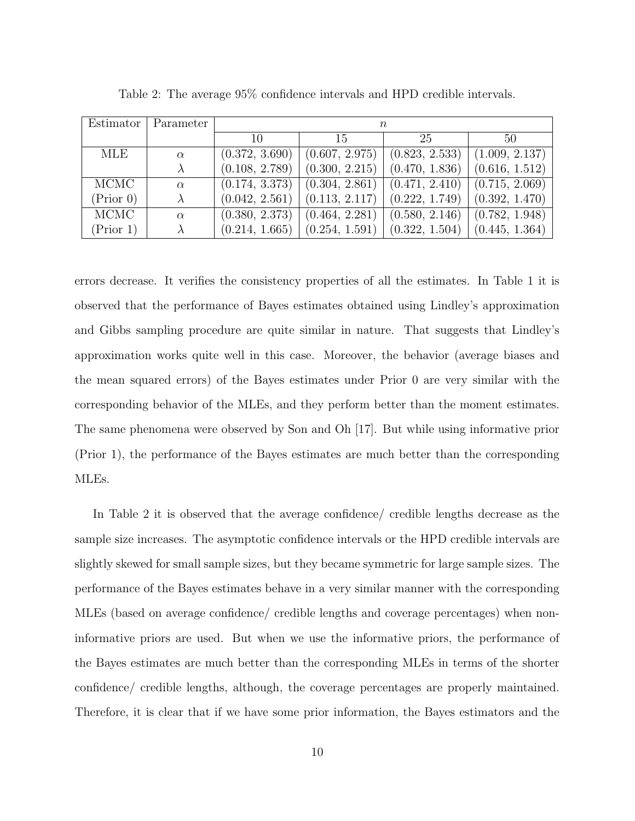| Estimator | Parameter | $\, n$         |                |                |                |  |  |
|-----------|-----------|----------------|----------------|----------------|----------------|--|--|
|           |           | 10             | 15             | 25             | 50             |  |  |
| MLE       | $\alpha$  | (0.372, 3.690) | (0.607, 2.975) | (0.823, 2.533) | (1.009, 2.137) |  |  |
|           |           | (0.108, 2.789) | (0.300, 2.215) | (0.470, 1.836) | (0.616, 1.512) |  |  |
| MCMC      | $\alpha$  | (0.174, 3.373) | (0.304, 2.861) | (0.471, 2.410) | (0.715, 2.069) |  |  |
| (Prior 0) |           | (0.042, 2.561) | (0.113, 2.117) | (0.222, 1.749) | (0.392, 1.470) |  |  |
| MCMC      | $\alpha$  | (0.380, 2.373) | (0.464, 2.281) | (0.580, 2.146) | (0.782, 1.948) |  |  |
| (Prior 1) |           | (0.214, 1.665) | (0.254, 1.591) | (0.322, 1.504) | (0.445, 1.364) |  |  |

Table 2: The average 95% confidence intervals and HPD credible intervals.

errors decrease. It verifies the consistency properties of all the estimates. In Table 1 it is observed that the performance of Bayes estimates obtained using Lindley's approximation and Gibbs sampling procedure are quite similar in nature. That suggests that Lindley's approximation works quite well in this case. Moreover, the behavior (average biases and the mean squared errors) of the Bayes estimates under Prior 0 are very similar with the corresponding behavior of the MLEs, and they perform better than the moment estimates. The same phenomena were observed by Son and Oh [17]. But while using informative prior (Prior 1), the performance of the Bayes estimates are much better than the corresponding MLEs.

In Table 2 it is observed that the average confidence/ credible lengths decrease as the sample size increases. The asymptotic confidence intervals or the HPD credible intervals are slightly skewed for small sample sizes, but they became symmetric for large sample sizes. The performance of the Bayes estimates behave in a very similar manner with the corresponding MLEs (based on average confidence/ credible lengths and coverage percentages) when noninformative priors are used. But when we use the informative priors, the performance of the Bayes estimates are much better than the corresponding MLEs in terms of the shorter confidence/ credible lengths, although, the coverage percentages are properly maintained. Therefore, it is clear that if we have some prior information, the Bayes estimators and the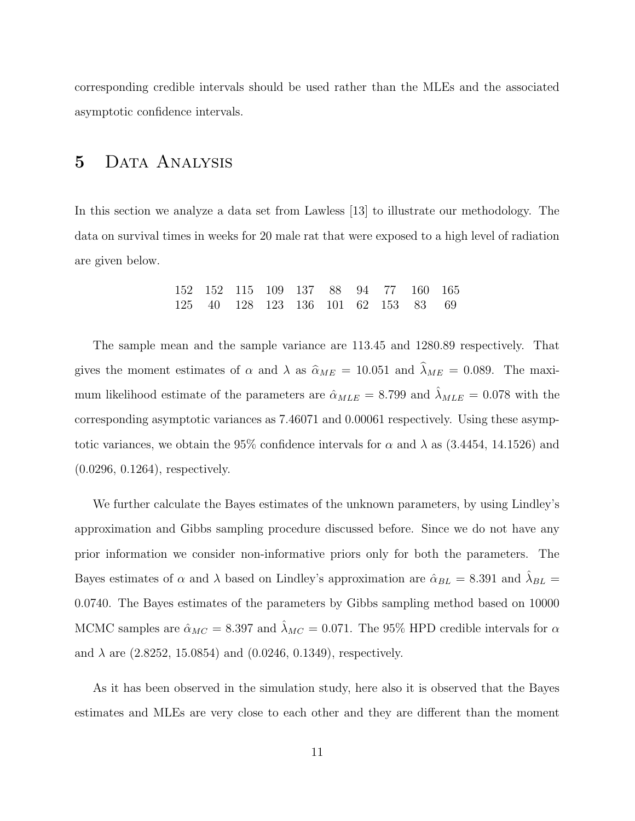corresponding credible intervals should be used rather than the MLEs and the associated asymptotic confidence intervals.

#### 5 Data Analysis

In this section we analyze a data set from Lawless [13] to illustrate our methodology. The data on survival times in weeks for 20 male rat that were exposed to a high level of radiation are given below.

|  |  | 152 152 115 109 137 88 94 77 160 165 |  |  |  |
|--|--|--------------------------------------|--|--|--|
|  |  | 125 40 128 123 136 101 62 153 83 69  |  |  |  |

The sample mean and the sample variance are 113.45 and 1280.89 respectively. That gives the moment estimates of  $\alpha$  and  $\lambda$  as  $\hat{\alpha}_{ME} = 10.051$  and  $\hat{\lambda}_{ME} = 0.089$ . The maximum likelihood estimate of the parameters are  $\hat{\alpha}_{MLE} = 8.799$  and  $\hat{\lambda}_{MLE} = 0.078$  with the corresponding asymptotic variances as 7.46071 and 0.00061 respectively. Using these asymptotic variances, we obtain the 95% confidence intervals for  $\alpha$  and  $\lambda$  as (3.4454, 14.1526) and (0.0296, 0.1264), respectively.

We further calculate the Bayes estimates of the unknown parameters, by using Lindley's approximation and Gibbs sampling procedure discussed before. Since we do not have any prior information we consider non-informative priors only for both the parameters. The Bayes estimates of  $\alpha$  and  $\lambda$  based on Lindley's approximation are  $\hat{\alpha}_{BL} = 8.391$  and  $\hat{\lambda}_{BL} =$ 0.0740. The Bayes estimates of the parameters by Gibbs sampling method based on 10000 MCMC samples are  $\hat{\alpha}_{MC} = 8.397$  and  $\hat{\lambda}_{MC} = 0.071$ . The 95% HPD credible intervals for  $\alpha$ and  $\lambda$  are (2.8252, 15.0854) and (0.0246, 0.1349), respectively.

As it has been observed in the simulation study, here also it is observed that the Bayes estimates and MLEs are very close to each other and they are different than the moment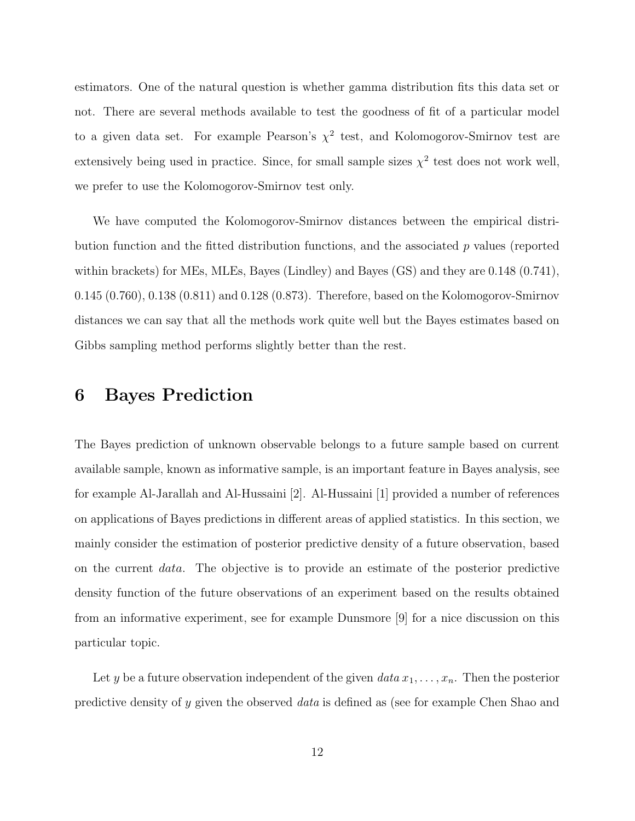estimators. One of the natural question is whether gamma distribution fits this data set or not. There are several methods available to test the goodness of fit of a particular model to a given data set. For example Pearson's  $\chi^2$  test, and Kolomogorov-Smirnov test are extensively being used in practice. Since, for small sample sizes  $\chi^2$  test does not work well, we prefer to use the Kolomogorov-Smirnov test only.

We have computed the Kolomogorov-Smirnov distances between the empirical distribution function and the fitted distribution functions, and the associated  $p$  values (reported within brackets) for MEs, MLEs, Bayes (Lindley) and Bayes (GS) and they are 0.148 (0.741), 0.145 (0.760), 0.138 (0.811) and 0.128 (0.873). Therefore, based on the Kolomogorov-Smirnov distances we can say that all the methods work quite well but the Bayes estimates based on Gibbs sampling method performs slightly better than the rest.

### 6 Bayes Prediction

The Bayes prediction of unknown observable belongs to a future sample based on current available sample, known as informative sample, is an important feature in Bayes analysis, see for example Al-Jarallah and Al-Hussaini [2]. Al-Hussaini [1] provided a number of references on applications of Bayes predictions in different areas of applied statistics. In this section, we mainly consider the estimation of posterior predictive density of a future observation, based on the current data. The objective is to provide an estimate of the posterior predictive density function of the future observations of an experiment based on the results obtained from an informative experiment, see for example Dunsmore [9] for a nice discussion on this particular topic.

Let y be a future observation independent of the given  $data x_1, \ldots, x_n$ . Then the posterior predictive density of y given the observed data is defined as (see for example Chen Shao and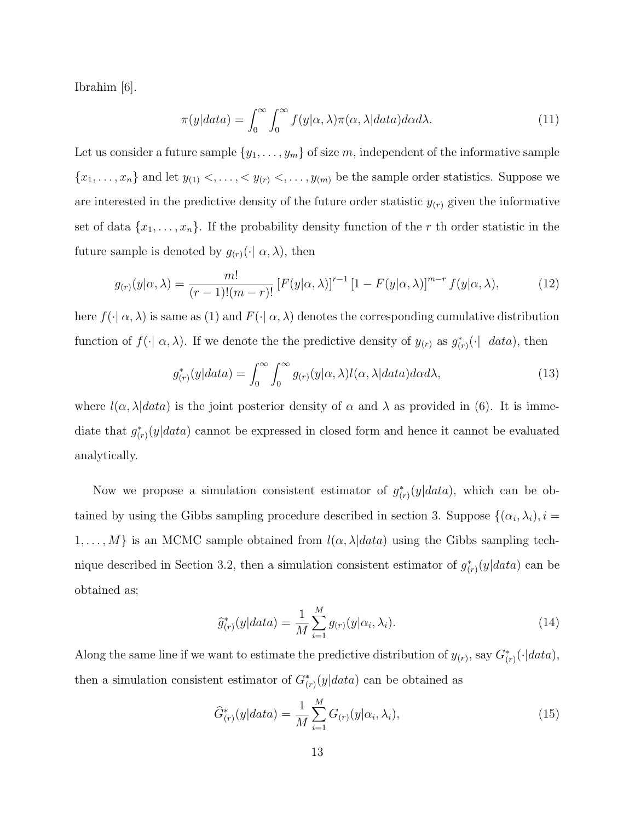Ibrahim [6].

$$
\pi(y|data) = \int_0^\infty \int_0^\infty f(y|\alpha, \lambda) \pi(\alpha, \lambda|data) d\alpha d\lambda.
$$
 (11)

Let us consider a future sample  $\{y_1, \ldots, y_m\}$  of size m, independent of the informative sample  ${x_1, \ldots, x_n}$  and let  $y_{(1)} <, \ldots, < y_{(r)} <, \ldots, y_{(m)}$  be the sample order statistics. Suppose we are interested in the predictive density of the future order statistic  $y_{(r)}$  given the informative set of data  $\{x_1, \ldots, x_n\}$ . If the probability density function of the r th order statistic in the future sample is denoted by  $g_{(r)}(\cdot | \alpha, \lambda)$ , then

$$
g_{(r)}(y|\alpha,\lambda) = \frac{m!}{(r-1)!(m-r)!} \left[F(y|\alpha,\lambda)\right]^{r-1} \left[1 - F(y|\alpha,\lambda)\right]^{m-r} f(y|\alpha,\lambda),\tag{12}
$$

here  $f(\cdot | \alpha, \lambda)$  is same as (1) and  $F(\cdot | \alpha, \lambda)$  denotes the corresponding cumulative distribution function of  $f(\cdot | \alpha, \lambda)$ . If we denote the the predictive density of  $y_{(r)}$  as  $g^*_{(r)}(\cdot | \eta)$  data), then

$$
g_{(r)}^*(y|data) = \int_0^\infty \int_0^\infty g_{(r)}(y|\alpha,\lambda) l(\alpha,\lambda|data) d\alpha d\lambda, \tag{13}
$$

where  $l(\alpha, \lambda|data)$  is the joint posterior density of  $\alpha$  and  $\lambda$  as provided in (6). It is immediate that  $g^*_{(r)}(y|data)$  cannot be expressed in closed form and hence it cannot be evaluated analytically.

Now we propose a simulation consistent estimator of  $g^*_{(r)}(y|data)$ , which can be obtained by using the Gibbs sampling procedure described in section 3. Suppose  $\{(\alpha_i, \lambda_i), i =$  $1, \ldots, M$  is an MCMC sample obtained from  $l(\alpha, \lambda | data)$  using the Gibbs sampling technique described in Section 3.2, then a simulation consistent estimator of  $g^*_{(r)}(y|data)$  can be obtained as;

$$
\hat{g}_{(r)}^*(y|data) = \frac{1}{M} \sum_{i=1}^{M} g_{(r)}(y|\alpha_i, \lambda_i).
$$
\n(14)

Along the same line if we want to estimate the predictive distribution of  $y_{(r)}$ , say  $G^*_{(r)}(\cdot|data)$ , then a simulation consistent estimator of  $G^*_{(r)}(y|data)$  can be obtained as

$$
\hat{G}_{(r)}^{*}(y|data) = \frac{1}{M} \sum_{i=1}^{M} G_{(r)}(y|\alpha_i, \lambda_i),
$$
\n(15)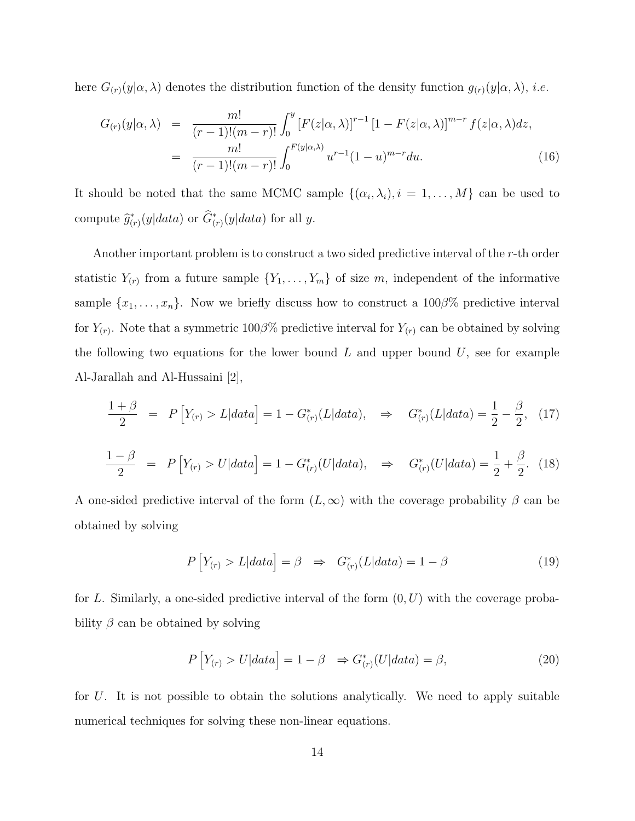here  $G_{(r)}(y|\alpha,\lambda)$  denotes the distribution function of the density function  $g_{(r)}(y|\alpha,\lambda)$ , *i.e.* 

$$
G_{(r)}(y|\alpha,\lambda) = \frac{m!}{(r-1)!(m-r)!} \int_0^y [F(z|\alpha,\lambda)]^{r-1} [1 - F(z|\alpha,\lambda)]^{m-r} f(z|\alpha,\lambda) dz,
$$
  

$$
= \frac{m!}{(r-1)!(m-r)!} \int_0^{F(y|\alpha,\lambda)} u^{r-1} (1-u)^{m-r} du.
$$
 (16)

It should be noted that the same MCMC sample  $\{(\alpha_i, \lambda_i), i = 1, \ldots, M\}$  can be used to compute  $\hat{g}^*_{(r)}(y|data)$  or  $\hat{G}^*_{(r)}(y|data)$  for all y.

Another important problem is to construct a two sided predictive interval of the r-th order statistic  $Y_{(r)}$  from a future sample  $\{Y_1, \ldots, Y_m\}$  of size m, independent of the informative sample  $\{x_1, \ldots, x_n\}$ . Now we briefly discuss how to construct a 100 $\beta$ % predictive interval for  $Y_{(r)}$ . Note that a symmetric 100 $\beta$ % predictive interval for  $Y_{(r)}$  can be obtained by solving the following two equations for the lower bound  $L$  and upper bound  $U$ , see for example Al-Jarallah and Al-Hussaini [2],

$$
\frac{1+\beta}{2} \quad = \quad P\left[Y_{(r)} > L|data\right] = 1 - G^*_{(r)}(L|data), \quad \Rightarrow \quad G^*_{(r)}(L|data) = \frac{1}{2} - \frac{\beta}{2}, \tag{17}
$$

$$
\frac{1-\beta}{2} \quad = \quad P\left[Y_{(r)} > U|data\right] = 1 - G_{(r)}^*(U|data), \quad \Rightarrow \quad G_{(r)}^*(U|data) = \frac{1}{2} + \frac{\beta}{2}.\tag{18}
$$

A one-sided predictive interval of the form  $(L, \infty)$  with the coverage probability  $\beta$  can be obtained by solving

$$
P\left[Y_{(r)} > L|data\right] = \beta \Rightarrow G^*_{(r)}(L|data) = 1 - \beta \tag{19}
$$

for L. Similarly, a one-sided predictive interval of the form  $(0, U)$  with the coverage probability  $\beta$  can be obtained by solving

$$
P\left[Y_{(r)} > U|data\right] = 1 - \beta \Rightarrow G^*_{(r)}(U|data) = \beta,
$$
\n(20)

for  $U$ . It is not possible to obtain the solutions analytically. We need to apply suitable numerical techniques for solving these non-linear equations.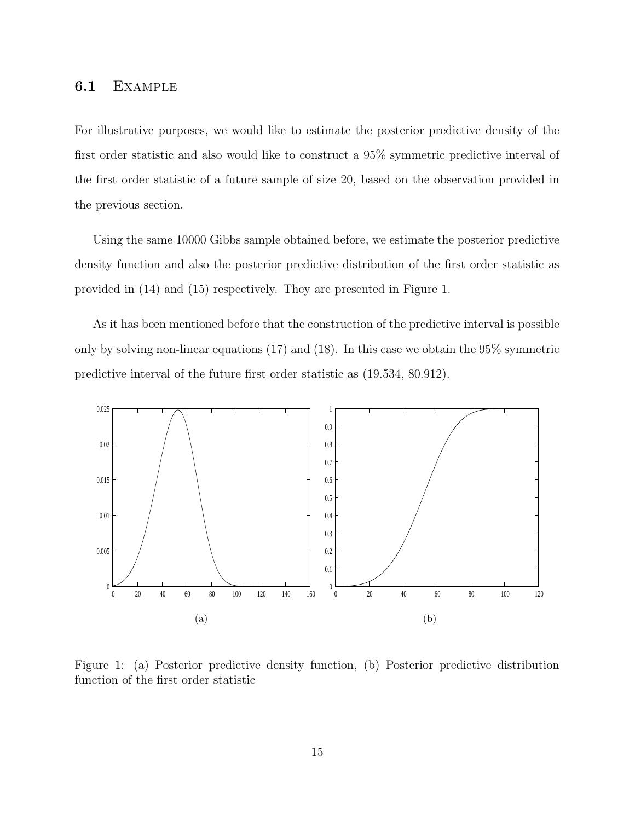#### 6.1 Example

For illustrative purposes, we would like to estimate the posterior predictive density of the first order statistic and also would like to construct a 95% symmetric predictive interval of the first order statistic of a future sample of size 20, based on the observation provided in the previous section.

Using the same 10000 Gibbs sample obtained before, we estimate the posterior predictive density function and also the posterior predictive distribution of the first order statistic as provided in (14) and (15) respectively. They are presented in Figure 1.

As it has been mentioned before that the construction of the predictive interval is possible only by solving non-linear equations (17) and (18). In this case we obtain the 95% symmetric predictive interval of the future first order statistic as (19.534, 80.912).



Figure 1: (a) Posterior predictive density function, (b) Posterior predictive distribution function of the first order statistic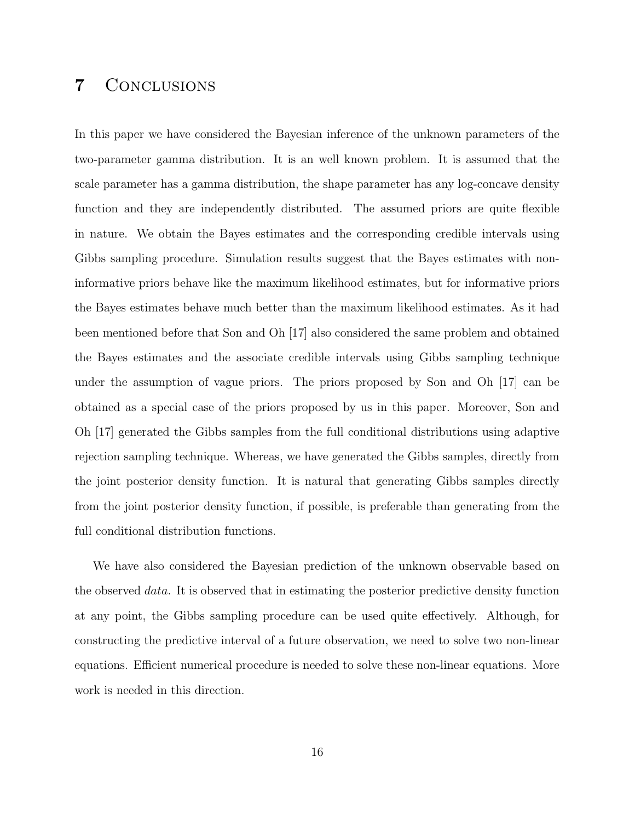### 7 Conclusions

In this paper we have considered the Bayesian inference of the unknown parameters of the two-parameter gamma distribution. It is an well known problem. It is assumed that the scale parameter has a gamma distribution, the shape parameter has any log-concave density function and they are independently distributed. The assumed priors are quite flexible in nature. We obtain the Bayes estimates and the corresponding credible intervals using Gibbs sampling procedure. Simulation results suggest that the Bayes estimates with noninformative priors behave like the maximum likelihood estimates, but for informative priors the Bayes estimates behave much better than the maximum likelihood estimates. As it had been mentioned before that Son and Oh [17] also considered the same problem and obtained the Bayes estimates and the associate credible intervals using Gibbs sampling technique under the assumption of vague priors. The priors proposed by Son and Oh [17] can be obtained as a special case of the priors proposed by us in this paper. Moreover, Son and Oh [17] generated the Gibbs samples from the full conditional distributions using adaptive rejection sampling technique. Whereas, we have generated the Gibbs samples, directly from the joint posterior density function. It is natural that generating Gibbs samples directly from the joint posterior density function, if possible, is preferable than generating from the full conditional distribution functions.

We have also considered the Bayesian prediction of the unknown observable based on the observed *data*. It is observed that in estimating the posterior predictive density function at any point, the Gibbs sampling procedure can be used quite effectively. Although, for constructing the predictive interval of a future observation, we need to solve two non-linear equations. Efficient numerical procedure is needed to solve these non-linear equations. More work is needed in this direction.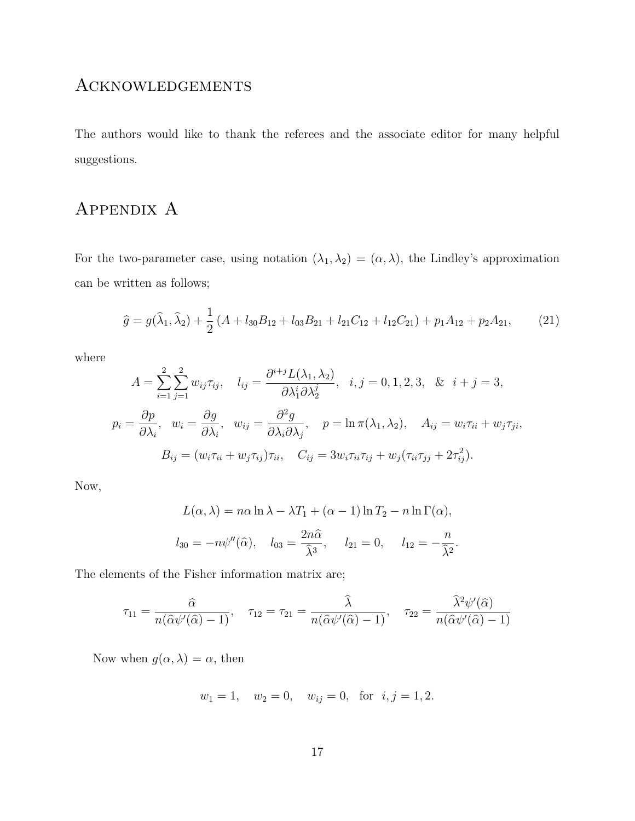#### **ACKNOWLEDGEMENTS**

The authors would like to thank the referees and the associate editor for many helpful suggestions.

# APPENDIX A

For the two-parameter case, using notation  $(\lambda_1, \lambda_2) = (\alpha, \lambda)$ , the Lindley's approximation can be written as follows;

$$
\hat{g} = g(\hat{\lambda}_1, \hat{\lambda}_2) + \frac{1}{2} (A + l_{30}B_{12} + l_{03}B_{21} + l_{21}C_{12} + l_{12}C_{21}) + p_1 A_{12} + p_2 A_{21},
$$
 (21)

where

$$
A = \sum_{i=1}^{2} \sum_{j=1}^{2} w_{ij} \tau_{ij}, \quad l_{ij} = \frac{\partial^{i+j} L(\lambda_1, \lambda_2)}{\partial \lambda_1^i \partial \lambda_2^j}, \quad i, j = 0, 1, 2, 3, \quad \& \quad i + j = 3,
$$
  

$$
p_i = \frac{\partial p}{\partial \lambda_i}, \quad w_i = \frac{\partial g}{\partial \lambda_i}, \quad w_{ij} = \frac{\partial^2 g}{\partial \lambda_i \partial \lambda_j}, \quad p = \ln \pi(\lambda_1, \lambda_2), \quad A_{ij} = w_i \tau_{ii} + w_j \tau_{ji},
$$
  

$$
B_{ij} = (w_i \tau_{ii} + w_j \tau_{ij}) \tau_{ii}, \quad C_{ij} = 3w_i \tau_{ii} \tau_{ij} + w_j (\tau_{ii} \tau_{jj} + 2\tau_{ij}^2).
$$

Now,

$$
L(\alpha, \lambda) = n\alpha \ln \lambda - \lambda T_1 + (\alpha - 1) \ln T_2 - n \ln \Gamma(\alpha),
$$
  

$$
l_{30} = -n\psi''(\widehat{\alpha}), \quad l_{03} = \frac{2n\widehat{\alpha}}{\widehat{\lambda}^3}, \quad l_{21} = 0, \quad l_{12} = -\frac{n}{\widehat{\lambda}^2}.
$$

The elements of the Fisher information matrix are;

$$
\tau_{11} = \frac{\widehat{\alpha}}{n(\widehat{\alpha}\psi'(\widehat{\alpha})-1)}, \quad \tau_{12} = \tau_{21} = \frac{\widehat{\lambda}}{n(\widehat{\alpha}\psi'(\widehat{\alpha})-1)}, \quad \tau_{22} = \frac{\widehat{\lambda}^2\psi'(\widehat{\alpha})}{n(\widehat{\alpha}\psi'(\widehat{\alpha})-1)}
$$

Now when  $g(\alpha, \lambda) = \alpha$ , then

$$
w_1 = 1
$$
,  $w_2 = 0$ ,  $w_{ij} = 0$ , for  $i, j = 1, 2$ .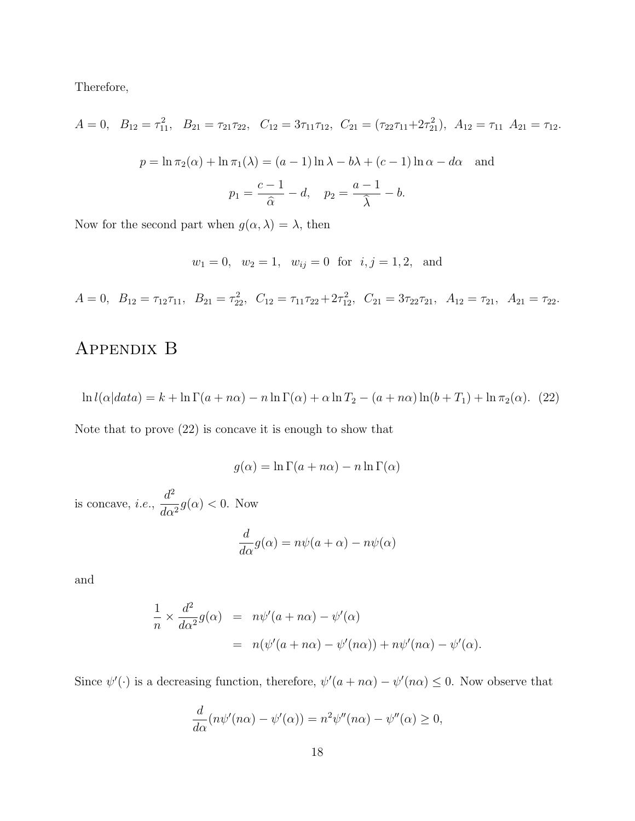Therefore,

$$
A = 0, \quad B_{12} = \tau_{11}^2, \quad B_{21} = \tau_{21}\tau_{22}, \quad C_{12} = 3\tau_{11}\tau_{12}, \quad C_{21} = (\tau_{22}\tau_{11} + 2\tau_{21}^2), \quad A_{12} = \tau_{11} \quad A_{21} = \tau_{12}.
$$
\n
$$
p = \ln \pi_2(\alpha) + \ln \pi_1(\lambda) = (a - 1)\ln \lambda - b\lambda + (c - 1)\ln \alpha - d\alpha \quad \text{and}
$$
\n
$$
p_1 = \frac{c - 1}{\hat{\alpha}} - d, \quad p_2 = \frac{a - 1}{\hat{\lambda}} - b.
$$

Now for the second part when  $g(\alpha, \lambda) = \lambda$ , then

 $w_1 = 0$ ,  $w_2 = 1$ ,  $w_{ij} = 0$  for  $i, j = 1, 2$ , and

 $A = 0, B_{12} = \tau_{12}\tau_{11}, B_{21} = \tau_{22}^2, C_{12} = \tau_{11}\tau_{22} + 2\tau_{12}^2, C_{21} = 3\tau_{22}\tau_{21}, A_{12} = \tau_{21}, A_{21} = \tau_{22}.$ 

# Appendix B

$$
\ln l(\alpha|data) = k + \ln \Gamma(a + n\alpha) - n \ln \Gamma(\alpha) + \alpha \ln T_2 - (a + n\alpha) \ln(b + T_1) + \ln \pi_2(\alpha). \tag{22}
$$

Note that to prove (22) is concave it is enough to show that

$$
g(\alpha) = \ln \Gamma(a + n\alpha) - n \ln \Gamma(\alpha)
$$

is concave, i.e.,  $d^2$  $\frac{d}{d\alpha^2}g(\alpha) < 0$ . Now

$$
\frac{d}{d\alpha}g(\alpha) = n\psi(a+\alpha) - n\psi(\alpha)
$$

and

$$
\frac{1}{n} \times \frac{d^2}{d\alpha^2} g(\alpha) = n\psi'(a + n\alpha) - \psi'(\alpha)
$$
  
=  $n(\psi'(a + n\alpha) - \psi'(n\alpha)) + n\psi'(n\alpha) - \psi'(\alpha)$ .

Since  $\psi'(\cdot)$  is a decreasing function, therefore,  $\psi'(a+n\alpha) - \psi'(n\alpha) \leq 0$ . Now observe that

$$
\frac{d}{d\alpha}(n\psi'(n\alpha) - \psi'(\alpha)) = n^2\psi''(n\alpha) - \psi''(\alpha) \ge 0,
$$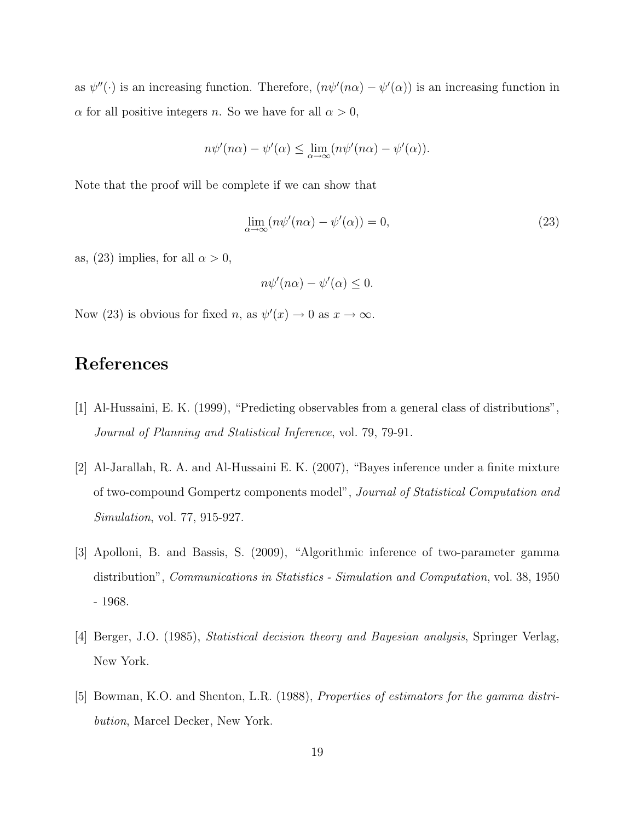as  $\psi''(\cdot)$  is an increasing function. Therefore,  $(n\psi'(n\alpha) - \psi'(\alpha))$  is an increasing function in  $\alpha$  for all positive integers *n*. So we have for all  $\alpha > 0$ ,

$$
n\psi'(n\alpha) - \psi'(\alpha) \le \lim_{\alpha \to \infty} (n\psi'(n\alpha) - \psi'(\alpha)).
$$

Note that the proof will be complete if we can show that

$$
\lim_{\alpha \to \infty} (n\psi'(n\alpha) - \psi'(\alpha)) = 0,\tag{23}
$$

as, (23) implies, for all  $\alpha > 0$ ,

$$
n\psi'(n\alpha) - \psi'(\alpha) \le 0.
$$

Now (23) is obvious for fixed n, as  $\psi'(x) \to 0$  as  $x \to \infty$ .

# References

- [1] Al-Hussaini, E. K. (1999), "Predicting observables from a general class of distributions", Journal of Planning and Statistical Inference, vol. 79, 79-91.
- [2] Al-Jarallah, R. A. and Al-Hussaini E. K. (2007), "Bayes inference under a finite mixture of two-compound Gompertz components model", Journal of Statistical Computation and Simulation, vol. 77, 915-927.
- [3] Apolloni, B. and Bassis, S. (2009), "Algorithmic inference of two-parameter gamma distribution", *Communications in Statistics - Simulation and Computation*, vol. 38, 1950 - 1968.
- [4] Berger, J.O. (1985), Statistical decision theory and Bayesian analysis, Springer Verlag, New York.
- [5] Bowman, K.O. and Shenton, L.R. (1988), Properties of estimators for the gamma distribution, Marcel Decker, New York.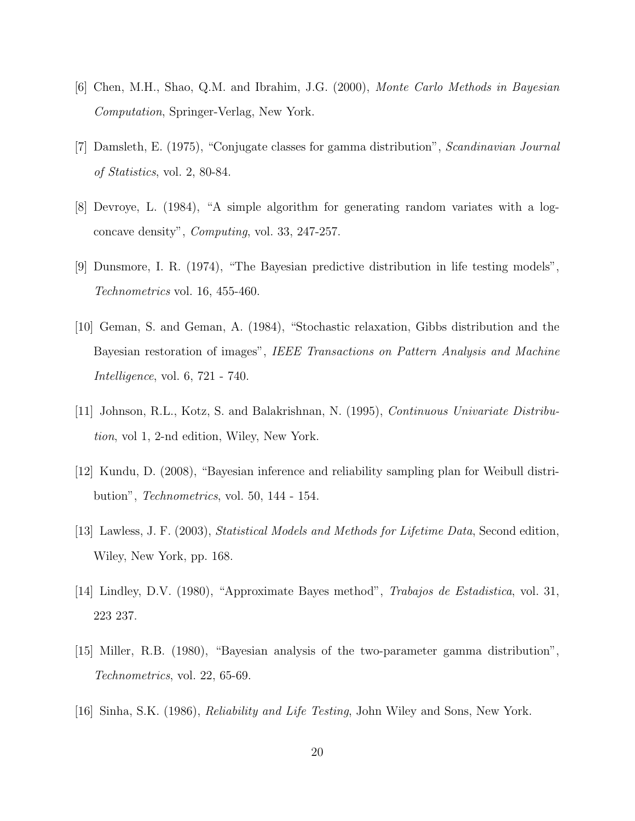- [6] Chen, M.H., Shao, Q.M. and Ibrahim, J.G. (2000), Monte Carlo Methods in Bayesian Computation, Springer-Verlag, New York.
- [7] Damsleth, E. (1975), "Conjugate classes for gamma distribution", Scandinavian Journal of Statistics, vol. 2, 80-84.
- [8] Devroye, L. (1984), "A simple algorithm for generating random variates with a logconcave density", Computing, vol. 33, 247-257.
- [9] Dunsmore, I. R. (1974), "The Bayesian predictive distribution in life testing models", Technometrics vol. 16, 455-460.
- [10] Geman, S. and Geman, A. (1984), "Stochastic relaxation, Gibbs distribution and the Bayesian restoration of images", IEEE Transactions on Pattern Analysis and Machine Intelligence, vol. 6, 721 - 740.
- [11] Johnson, R.L., Kotz, S. and Balakrishnan, N. (1995), Continuous Univariate Distribution, vol 1, 2-nd edition, Wiley, New York.
- [12] Kundu, D. (2008), "Bayesian inference and reliability sampling plan for Weibull distribution", Technometrics, vol. 50, 144 - 154.
- [13] Lawless, J. F. (2003), Statistical Models and Methods for Lifetime Data, Second edition, Wiley, New York, pp. 168.
- [14] Lindley, D.V. (1980), "Approximate Bayes method", Trabajos de Estadistica, vol. 31, 223 237.
- [15] Miller, R.B. (1980), "Bayesian analysis of the two-parameter gamma distribution", Technometrics, vol. 22, 65-69.
- [16] Sinha, S.K. (1986), Reliability and Life Testing, John Wiley and Sons, New York.